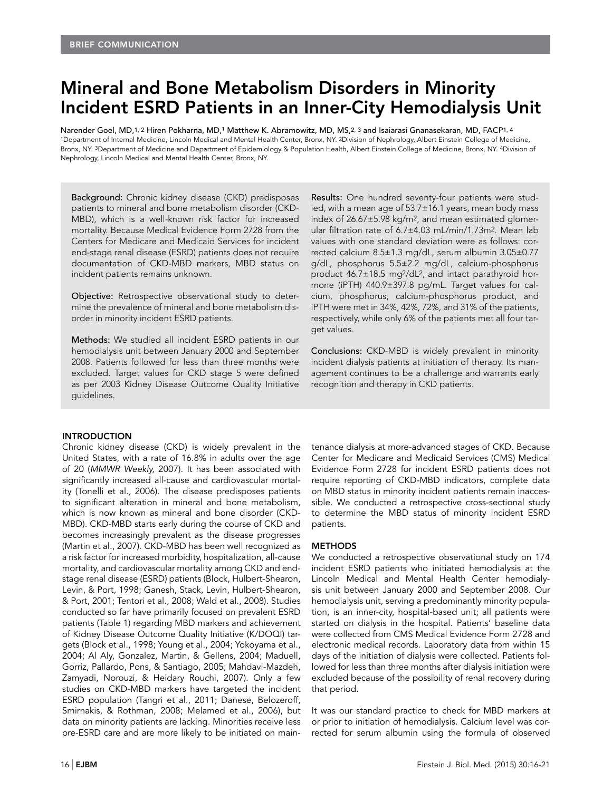# Mineral and Bone Metabolism Disorders in Minority Incident ESRD Patients in an Inner-City Hemodialysis Unit

Narender Goel, MD,1,2 Hiren Pokharna, MD,1 Matthew K. Abramowitz, MD, MS,2,3 and Isaiarasi Gnanasekaran, MD, FACP1,4 1Department of Internal Medicine, Lincoln Medical and Mental Health Center, Bronx, NY. 2Division of Nephrology, Albert Einstein College of Medicine, Bronx, NY. 3Department of Medicine and Department of Epidemiology & Population Health, Albert Einstein College of Medicine, Bronx, NY. 4Division of Nephrology, Lincoln Medical and Mental Health Center, Bronx, NY.

Background: Chronic kidney disease (CKD) predisposes patients to mineral and bone metabolism disorder (CKD-MBD), which is a well-known risk factor for increased mortality. Because Medical Evidence Form 2728 from the Centers for Medicare and Medicaid Services for incident end-stage renal disease (ESRD) patients does not require documentation of CKD-MBD markers, MBD status on incident patients remains unknown.

Objective: Retrospective observational study to determine the prevalence of mineral and bone metabolism disorder in minority incident ESRD patients.

Methods: We studied all incident ESRD patients in our hemodialysis unit between January 2000 and September 2008. Patients followed for less than three months were excluded. Target values for CKD stage 5 were defined as per 2003 Kidney Disease Outcome Quality Initiative guidelines.

Results: One hundred seventy-four patients were studied, with a mean age of 53.7±16.1 years, mean body mass index of 26.67±5.98 kg/m2, and mean estimated glomerular filtration rate of 6.7±4.03 mL/min/1.73m2. Mean lab values with one standard deviation were as follows: corrected calcium 8.5±1.3 mg/dL, serum albumin 3.05±0.77 g/dL, phosphorus 5.5±2.2 mg/dL, calcium-phosphorus product 46.7±18.5 mg2/dL2, and intact parathyroid hormone (iPTH) 440.9±397.8 pg/mL. Target values for calcium, phosphorus, calcium-phosphorus product, and iPTH were met in 34%, 42%, 72%, and 31% of the patients, respectively, while only 6% of the patients met all four target values.

Conclusions: CKD-MBD is widely prevalent in minority incident dialysis patients at initiation of therapy. Its management continues to be a challenge and warrants early recognition and therapy in CKD patients.

# INTRODUCTION

Chronic kidney disease (CKD) is widely prevalent in the United States, with a rate of 16.8% in adults over the age of 20 (MMWR Weekly, 2007). It has been associated with significantly increased all-cause and cardiovascular mortality (Tonelli et al., 2006). The disease predisposes patients to significant alteration in mineral and bone metabolism, which is now known as mineral and bone disorder (CKD-MBD). CKD-MBD starts early during the course of CKD and becomes increasingly prevalent as the disease progresses (Martin et al., 2007). CKD-MBD has been well recognized as a risk factor for increased morbidity, hospitalization, all-cause mortality, and cardiovascular mortality among CKD and endstage renal disease (ESRD) patients (Block, Hulbert-Shearon, Levin, & Port, 1998; Ganesh, Stack, Levin, Hulbert-Shearon, & Port, 2001; Tentori et al., 2008; Wald et al., 2008). Studies conducted so far have primarily focused on prevalent ESRD patients (Table 1) regarding MBD markers and achievement of Kidney Disease Outcome Quality Initiative (K/DOQI) targets (Block et al., 1998; Young et al., 2004; Yokoyama et al., 2004; Al Aly, Gonzalez, Martin, & Gellens, 2004; Maduell, Gorriz, Pallardo, Pons, & Santiago, 2005; Mahdavi-Mazdeh, Zamyadi, Norouzi, & Heidary Rouchi, 2007). Only a few studies on CKD-MBD markers have targeted the incident ESRD population (Tangri et al., 2011; Danese, Belozeroff, Smirnakis, & Rothman, 2008; Melamed et al., 2006), but data on minority patients are lacking. Minorities receive less pre-ESRD care and are more likely to be initiated on maintenance dialysis at more-advanced stages of CKD. Because Center for Medicare and Medicaid Services (CMS) Medical Evidence Form 2728 for incident ESRD patients does not require reporting of CKD-MBD indicators, complete data on MBD status in minority incident patients remain inaccessible. We conducted a retrospective cross-sectional study to determine the MBD status of minority incident ESRD patients.

# **METHODS**

We conducted a retrospective observational study on 174 incident ESRD patients who initiated hemodialysis at the Lincoln Medical and Mental Health Center hemodialysis unit between January 2000 and September 2008. Our hemodialysis unit, serving a predominantly minority population, is an inner-city, hospital-based unit; all patients were started on dialysis in the hospital. Patients' baseline data were collected from CMS Medical Evidence Form 2728 and electronic medical records. Laboratory data from within 15 days of the initiation of dialysis were collected. Patients followed for less than three months after dialysis initiation were excluded because of the possibility of renal recovery during that period.

It was our standard practice to check for MBD markers at or prior to initiation of hemodialysis. Calcium level was corrected for serum albumin using the formula of observed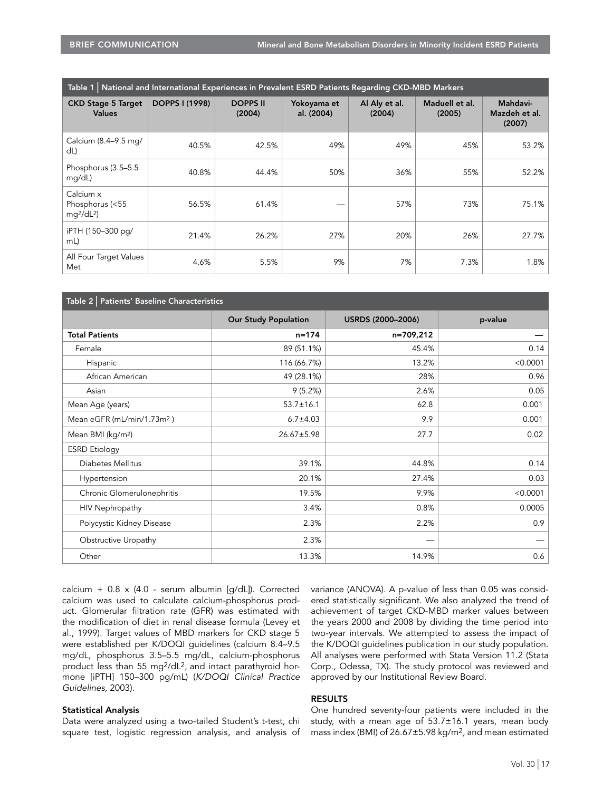| Table 1   National and International Experiences in Prevalent ESRD Patients Regarding CKD-MBD Markers |                       |                           |                           |                         |                          |                                     |  |  |  |
|-------------------------------------------------------------------------------------------------------|-----------------------|---------------------------|---------------------------|-------------------------|--------------------------|-------------------------------------|--|--|--|
| <b>CKD Stage 5 Target</b><br><b>Values</b>                                                            | <b>DOPPS I (1998)</b> | <b>DOPPS II</b><br>(2004) | Yokoyama et<br>al. (2004) | Al Aly et al.<br>(2004) | Maduell et al.<br>(2005) | Mahdavi-<br>Mazdeh et al.<br>(2007) |  |  |  |
| Calcium (8.4-9.5 mg/<br>dL                                                                            | 40.5%                 | 42.5%                     | 49%                       | 49%                     | 45%                      | 53.2%                               |  |  |  |
| Phosphorus (3.5–5.5)<br>mg/dL)                                                                        | 40.8%                 | 44.4%                     | 50%                       | 36%                     | 55%                      | 52.2%                               |  |  |  |
| Calcium x<br>Phosphorus (<55<br>$mq^2/dL^2$                                                           | 56.5%                 | 61.4%                     |                           | 57%                     | 73%                      | 75.1%                               |  |  |  |
| iPTH (150-300 pg/<br>mL)                                                                              | 21.4%                 | 26.2%                     | 27%                       | 20%                     | 26%                      | 27.7%                               |  |  |  |
| All Four Target Values<br>Met                                                                         | 4.6%                  | 5.5%                      | 9%                        | 7%                      | 7.3%                     | 1.8%                                |  |  |  |

| Table 2   Patients' Baseline Characteristics |                             |                   |          |  |  |  |  |  |
|----------------------------------------------|-----------------------------|-------------------|----------|--|--|--|--|--|
|                                              | <b>Our Study Population</b> | USRDS (2000-2006) | p-value  |  |  |  |  |  |
| <b>Total Patients</b>                        | $n = 174$                   | n=709,212         |          |  |  |  |  |  |
| Female                                       | 89 (51.1%)                  | 45.4%             | 0.14     |  |  |  |  |  |
| Hispanic                                     | 116 (66.7%)                 | 13.2%             | < 0.0001 |  |  |  |  |  |
| African American                             | 49 (28.1%)                  | 28%               | 0.96     |  |  |  |  |  |
| Asian                                        | 9(5.2%)                     | 2.6%              | 0.05     |  |  |  |  |  |
| Mean Age (years)                             | $53.7 \pm 16.1$             | 62.8              | 0.001    |  |  |  |  |  |
| Mean eGFR (mL/min/1.73m <sup>2</sup> )       | $6.7 \pm 4.03$              | 9.9               | 0.001    |  |  |  |  |  |
| Mean BMI (kg/m <sup>2</sup> )                | $26.67 \pm 5.98$            | 27.7              | 0.02     |  |  |  |  |  |
| <b>ESRD</b> Etiology                         |                             |                   |          |  |  |  |  |  |
| Diabetes Mellitus                            | 39.1%                       | 44.8%             | 0.14     |  |  |  |  |  |
| Hypertension                                 | 20.1%                       | 27.4%             | 0.03     |  |  |  |  |  |
| Chronic Glomerulonephritis                   | 19.5%                       | 9.9%              | < 0.0001 |  |  |  |  |  |
| HIV Nephropathy                              | 3.4%                        | 0.8%              | 0.0005   |  |  |  |  |  |
| Polycystic Kidney Disease                    | 2.3%                        | 2.2%              | 0.9      |  |  |  |  |  |
| Obstructive Uropathy                         | 2.3%                        |                   |          |  |  |  |  |  |
| Other                                        | 13.3%                       | 14.9%             | 0.6      |  |  |  |  |  |

calcium + 0.8 x (4.0 - serum albumin [g/dL]). Corrected calcium was used to calculate calcium-phosphorus product. Glomerular filtration rate (GFR) was estimated with the modification of diet in renal disease formula (Levey et al., 1999). Target values of MBD markers for CKD stage 5 were established per K/DOQI guidelines (calcium 8.4–9.5 mg/dL, phosphorus 3.5–5.5 mg/dL, calcium-phosphorus product less than 55 mg2/dL2, and intact parathyroid hormone [iPTH] 150–300 pg/mL) (K/DOQI Clinical Practice Guidelines, 2003).

# Statistical Analysis

Data were analyzed using a two-tailed Student's t-test, chi square test, logistic regression analysis, and analysis of variance (ANOVA). A p-value of less than 0.05 was considered statistically significant. We also analyzed the trend of achievement of target CKD-MBD marker values between the years 2000 and 2008 by dividing the time period into two-year intervals. We attempted to assess the impact of the K/DOQI guidelines publication in our study population. All analyses were performed with Stata Version 11.2 (Stata Corp., Odessa, TX). The study protocol was reviewed and approved by our Institutional Review Board.

# RESULTS

One hundred seventy-four patients were included in the study, with a mean age of 53.7±16.1 years, mean body mass index (BMI) of 26.67±5.98 kg/m2, and mean estimated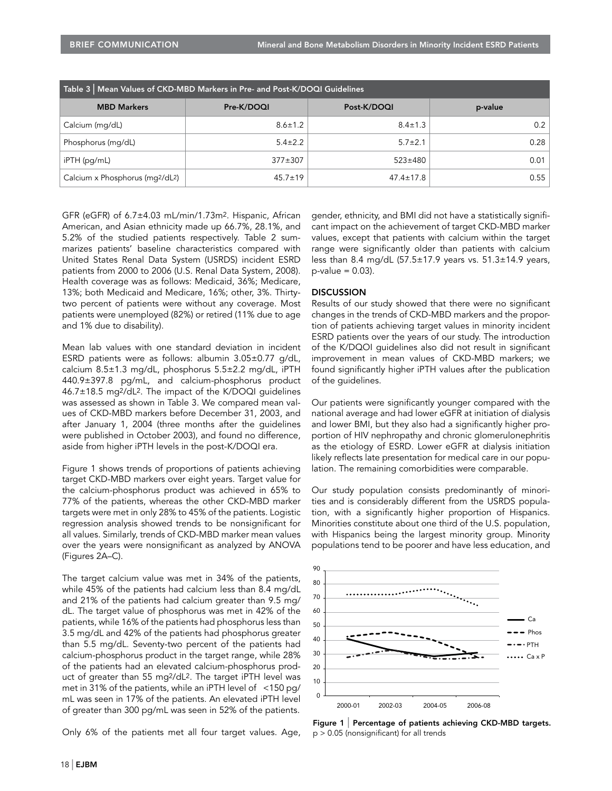| Table 3   Mean Values of CKD-MBD Markers in Pre- and Post-K/DOQI Guidelines |               |                 |         |  |  |  |  |
|-----------------------------------------------------------------------------|---------------|-----------------|---------|--|--|--|--|
| <b>MBD Markers</b>                                                          | Pre-K/DOQI    | Post-K/DOQI     | p-value |  |  |  |  |
| Calcium (mg/dL)                                                             | $8.6 \pm 1.2$ | $8.4 \pm 1.3$   | 0.2     |  |  |  |  |
| Phosphorus (mg/dL)                                                          | $5.4 \pm 2.2$ | $5.7 \pm 2.1$   | 0.28    |  |  |  |  |
| iPTH (pg/mL)                                                                | $377 + 307$   | $523 \pm 480$   | 0.01    |  |  |  |  |
| Calcium x Phosphorus (mq2/dL2)                                              | $45.7 \pm 19$ | $47.4 \pm 17.8$ | 0.55    |  |  |  |  |

GFR (eGFR) of 6.7±4.03 mL/min/1.73m2. Hispanic, African American, and Asian ethnicity made up 66.7%, 28.1%, and 5.2% of the studied patients respectively. Table 2 summarizes patients' baseline characteristics compared with United States Renal Data System (USRDS) incident ESRD patients from 2000 to 2006 (U.S. Renal Data System, 2008). Health coverage was as follows: Medicaid, 36%; Medicare, 13%; both Medicaid and Medicare, 16%; other, 3%. Thirtytwo percent of patients were without any coverage. Most patients were unemployed (82%) or retired (11% due to age and 1% due to disability).

Mean lab values with one standard deviation in incident ESRD patients were as follows: albumin 3.05±0.77 g/dL, calcium 8.5±1.3 mg/dL, phosphorus 5.5±2.2 mg/dL, iPTH 440.9±397.8 pg/mL, and calcium-phosphorus product 46.7±18.5 mg2/dL2. The impact of the K/DOQI guidelines was assessed as shown in Table 3. We compared mean values of CKD-MBD markers before December 31, 2003, and after January 1, 2004 (three months after the guidelines were published in October 2003), and found no difference, aside from higher iPTH levels in the post-K/DOQI era.

Figure 1 shows trends of proportions of patients achieving target CKD-MBD markers over eight years. Target value for the calcium-phosphorus product was achieved in 65% to 77% of the patients, whereas the other CKD-MBD marker targets were met in only 28% to 45% of the patients. Logistic regression analysis showed trends to be nonsignificant for all values. Similarly, trends of CKD-MBD marker mean values over the years were nonsignificant as analyzed by ANOVA (Figures 2A–C).

The target calcium value was met in 34% of the patients, while 45% of the patients had calcium less than 8.4 mg/dL and 21% of the patients had calcium greater than 9.5 mg/ dL. The target value of phosphorus was met in 42% of the patients, while 16% of the patients had phosphorus less than 3.5 mg/dL and 42% of the patients had phosphorus greater than 5.5 mg/dL. Seventy-two percent of the patients had calcium-phosphorus product in the target range, while 28% of the patients had an elevated calcium-phosphorus product of greater than 55 mg2/dL2. The target iPTH level was met in 31% of the patients, while an iPTH level of <150 pg/ mL was seen in 17% of the patients. An elevated iPTH level of greater than 300 pg/mL was seen in 52% of the patients.

Only 6% of the patients met all four target values. Age,

gender, ethnicity, and BMI did not have a statistically significant impact on the achievement of target CKD-MBD marker values, except that patients with calcium within the target range were significantly older than patients with calcium less than 8.4 mg/dL (57.5±17.9 years vs. 51.3±14.9 years,  $p$ -value = 0.03).

# DISCUSSION

Results of our study showed that there were no significant changes in the trends of CKD-MBD markers and the proportion of patients achieving target values in minority incident ESRD patients over the years of our study. The introduction of the K/DQOI guidelines also did not result in significant improvement in mean values of CKD-MBD markers; we found significantly higher iPTH values after the publication of the guidelines.

Our patients were significantly younger compared with the national average and had lower eGFR at initiation of dialysis and lower BMI, but they also had a significantly higher proportion of HIV nephropathy and chronic glomerulonephritis as the etiology of ESRD. Lower eGFR at dialysis initiation likely reflects late presentation for medical care in our population. The remaining comorbidities were comparable.

Our study population consists predominantly of minorities and is considerably different from the USRDS population, with a significantly higher proportion of Hispanics. Minorities constitute about one third of the U.S. population, with Hispanics being the largest minority group. Minority populations tend to be poorer and have less education, and



Figure 1 | Percentage of patients achieving CKD-MBD targets. p > 0.05 (nonsignificant) for all trends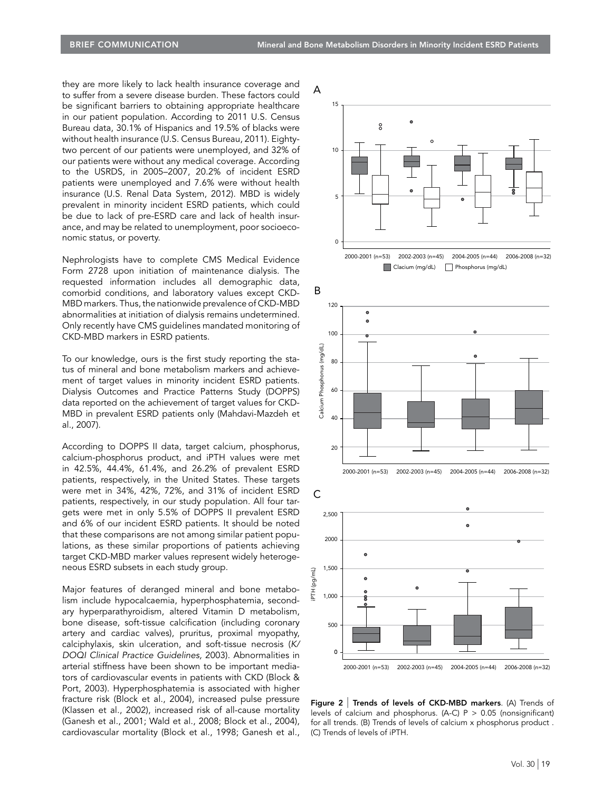they are more likely to lack health insurance coverage and to suffer from a severe disease burden. These factors could be significant barriers to obtaining appropriate healthcare in our patient population. According to 2011 U.S. Census Bureau data, 30.1% of Hispanics and 19.5% of blacks were without health insurance (U.S. Census Bureau, 2011). Eightytwo percent of our patients were unemployed, and 32% of our patients were without any medical coverage. According to the USRDS, in 2005–2007, 20.2% of incident ESRD patients were unemployed and 7.6% were without health insurance (U.S. Renal Data System, 2012). MBD is widely prevalent in minority incident ESRD patients, which could be due to lack of pre-ESRD care and lack of health insurance, and may be related to unemployment, poor socioeconomic status, or poverty.

Nephrologists have to complete CMS Medical Evidence Form 2728 upon initiation of maintenance dialysis. The requested information includes all demographic data, comorbid conditions, and laboratory values except CKD-MBD markers. Thus, the nationwide prevalence of CKD-MBD abnormalities at initiation of dialysis remains undetermined. Only recently have CMS guidelines mandated monitoring of CKD-MBD markers in ESRD patients.

To our knowledge, ours is the first study reporting the status of mineral and bone metabolism markers and achievement of target values in minority incident ESRD patients. Dialysis Outcomes and Practice Patterns Study (DOPPS) data reported on the achievement of target values for CKD-MBD in prevalent ESRD patients only (Mahdavi-Mazdeh et al., 2007).

According to DOPPS II data, target calcium, phosphorus, calcium-phosphorus product, and iPTH values were met in 42.5%, 44.4%, 61.4%, and 26.2% of prevalent ESRD patients, respectively, in the United States. These targets were met in 34%, 42%, 72%, and 31% of incident ESRD patients, respectively, in our study population. All four targets were met in only 5.5% of DOPPS II prevalent ESRD and 6% of our incident ESRD patients. It should be noted that these comparisons are not among similar patient populations, as these similar proportions of patients achieving target CKD-MBD marker values represent widely heterogeneous ESRD subsets in each study group.

Major features of deranged mineral and bone metabolism include hypocalcaemia, hyperphosphatemia, secondary hyperparathyroidism, altered Vitamin D metabolism, bone disease, soft-tissue calcification (including coronary artery and cardiac valves), pruritus, proximal myopathy, calciphylaxis, skin ulceration, and soft-tissue necrosis (K/ DOQI Clinical Practice Guidelines, 2003). Abnormalities in arterial stiffness have been shown to be important mediators of cardiovascular events in patients with CKD (Block & Port, 2003). Hyperphosphatemia is associated with higher fracture risk (Block et al., 2004), increased pulse pressure (Klassen et al., 2002), increased risk of all-cause mortality (Ganesh et al., 2001; Wald et al., 2008; Block et al., 2004), cardiovascular mortality (Block et al., 1998; Ganesh et al.,





Figure 2 | Trends of levels of CKD-MBD markers. (A) Trends of levels of calcium and phosphorus. (A-C)  $P > 0.05$  (nonsignificant) for all trends. (B) Trends of levels of calcium x phosphorus product . (C) Trends of levels of iPTH.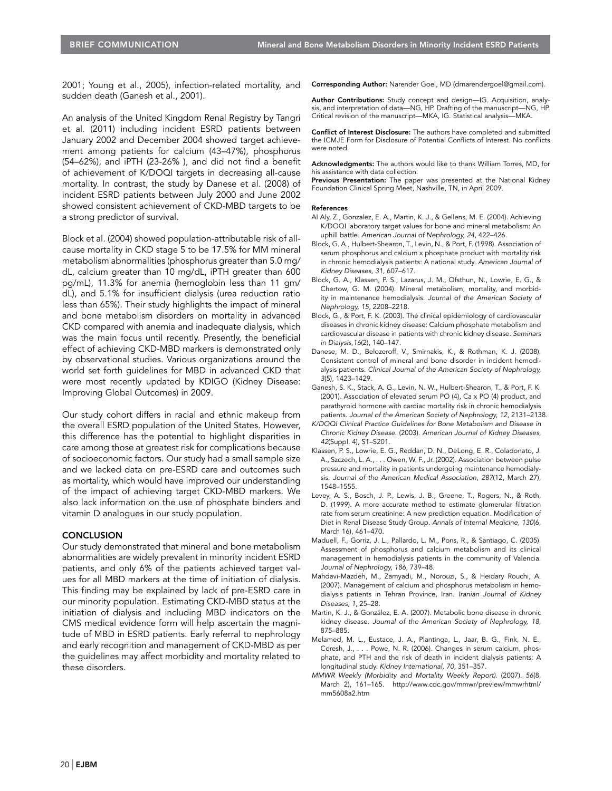2001; Young et al., 2005), infection-related mortality, and sudden death (Ganesh et al., 2001).

An analysis of the United Kingdom Renal Registry by Tangri et al. (2011) including incident ESRD patients between January 2002 and December 2004 showed target achievement among patients for calcium (43–47%), phosphorus (54–62%), and iPTH (23-26% ), and did not find a benefit of achievement of K/DOQI targets in decreasing all-cause mortality. In contrast, the study by Danese et al. (2008) of incident ESRD patients between July 2000 and June 2002 showed consistent achievement of CKD-MBD targets to be a strong predictor of survival.

Block et al. (2004) showed population-attributable risk of allcause mortality in CKD stage 5 to be 17.5% for MM mineral metabolism abnormalities (phosphorus greater than 5.0 mg/ dL, calcium greater than 10 mg/dL, iPTH greater than 600 pg/mL), 11.3% for anemia (hemoglobin less than 11 gm/ dL), and 5.1% for insufficient dialysis (urea reduction ratio less than 65%). Their study highlights the impact of mineral and bone metabolism disorders on mortality in advanced CKD compared with anemia and inadequate dialysis, which was the main focus until recently. Presently, the beneficial effect of achieving CKD-MBD markers is demonstrated only by observational studies. Various organizations around the world set forth guidelines for MBD in advanced CKD that were most recently updated by KDIGO (Kidney Disease: Improving Global Outcomes) in 2009.

Our study cohort differs in racial and ethnic makeup from the overall ESRD population of the United States. However, this difference has the potential to highlight disparities in care among those at greatest risk for complications because of socioeconomic factors. Our study had a small sample size and we lacked data on pre-ESRD care and outcomes such as mortality, which would have improved our understanding of the impact of achieving target CKD-MBD markers. We also lack information on the use of phosphate binders and vitamin D analogues in our study population.

# **CONCLUSION**

Our study demonstrated that mineral and bone metabolism abnormalities are widely prevalent in minority incident ESRD patients, and only 6% of the patients achieved target values for all MBD markers at the time of initiation of dialysis. This finding may be explained by lack of pre-ESRD care in our minority population. Estimating CKD-MBD status at the initiation of dialysis and including MBD indicators on the CMS medical evidence form will help ascertain the magnitude of MBD in ESRD patients. Early referral to nephrology and early recognition and management of CKD-MBD as per the guidelines may affect morbidity and mortality related to these disorders.

Corresponding Author: Narender Goel, MD (drnarendergoel@gmail.com).

Author Contributions: Study concept and design-IG. Acquisition, analysis, and interpretation of data—NG, HP. Drafting of the manuscript—NG, HP. Critical revision of the manuscript—MKA, IG. Statistical analysis—MKA.

Conflict of Interest Disclosure: The authors have completed and submitted the ICMJE Form for Disclosure of Potential Conflicts of Interest. No conflicts were noted.

Acknowledgments: The authors would like to thank William Torres, MD, for his assistance with data collection.

Previous Presentation: The paper was presented at the National Kidney Foundation Clinical Spring Meet, Nashville, TN, in April 2009.

#### References

- Al Aly, Z., Gonzalez, E. A., Martin, K. J., & Gellens, M. E. (2004). Achieving K/DOQI laboratory target values for bone and mineral metabolism: An uphill battle. American Journal of Nephrology, 24, 422–426.
- Block, G. A., Hulbert-Shearon, T., Levin, N., & Port, F. (1998). Association of serum phosphorus and calcium x phosphate product with mortality risk in chronic hemodialysis patients: A national study. American Journal of Kidney Diseases, 31, 607–617.
- Block, G. A., Klassen, P. S., Lazarus, J. M., Ofsthun, N., Lowrie, E. G., & Chertow, G. M. (2004). Mineral metabolism, mortality, and morbidity in maintenance hemodialysis. Journal of the American Society of Nephrology, 15, 2208–2218.
- Block, G., & Port, F. K. (2003). The clinical epidemiology of cardiovascular diseases in chronic kidney disease: Calcium phosphate metabolism and cardiovascular disease in patients with chronic kidney disease. Seminars in Dialysis,16(2), 140–147.
- Danese, M. D., Belozeroff, V., Smirnakis, K., & Rothman, K. J. (2008). Consistent control of mineral and bone disorder in incident hemodialysis patients. Clinical Journal of the American Society of Nephrology, 3(5), 1423–1429.
- Ganesh, S. K., Stack, A. G., Levin, N. W., Hulbert-Shearon, T., & Port, F. K. (2001). Association of elevated serum PO (4), Ca x PO (4) product, and parathyroid hormone with cardiac mortality risk in chronic hemodialysis patients. Journal of the American Society of Nephrology, 12, 2131–2138.
- K/DOQI Clinical Practice Guidelines for Bone Metabolism and Disease in Chronic Kidney Disease. (2003). American Journal of Kidney Diseases, 42(Suppl. 4), S1–S201.
- Klassen, P. S., Lowrie, E. G., Reddan, D. N., DeLong, E. R., Coladonato, J. A., Szczech, L. A., . . . Owen, W. F., Jr. (2002). Association between pulse pressure and mortality in patients undergoing maintenance hemodialysis. Journal of the American Medical Association, 287(12, March 27), 1548–1555.
- Levey, A. S., Bosch, J. P., Lewis, J. B., Greene, T., Rogers, N., & Roth, D. (1999). A more accurate method to estimate glomerular filtration rate from serum creatinine: A new prediction equation. Modification of Diet in Renal Disease Study Group. Annals of Internal Medicine, 130(6, March 16), 461–470.
- Maduell, F., Gorriz, J. L., Pallardo, L. M., Pons, R., & Santiago, C. (2005). Assessment of phosphorus and calcium metabolism and its clinical management in hemodialysis patients in the community of Valencia. Journal of Nephrology, 186, 739–48.
- Mahdavi-Mazdeh, M., Zamyadi, M., Norouzi, S., & Heidary Rouchi, A. (2007). Management of calcium and phosphorus metabolism in hemodialysis patients in Tehran Province, Iran. Iranian Journal of Kidney Diseases, 1, 25–28.
- Martin, K. J., & González, E. A. (2007). Metabolic bone disease in chronic kidney disease. Journal of the American Society of Nephrology, 18, 875–885.
- Melamed, M. L., Eustace, J. A., Plantinga, L., Jaar, B. G., Fink, N. E., Coresh, J., . . . Powe, N. R. (2006). Changes in serum calcium, phosphate, and PTH and the risk of death in incident dialysis patients: A longitudinal study. Kidney International, 70, 351–357.
- MMWR Weekly (Morbidity and Mortality Weekly Report). (2007). 56(8, March 2), 161–165. http://www.cdc.gov/mmwr/preview/mmwrhtml/ mm5608a2.htm